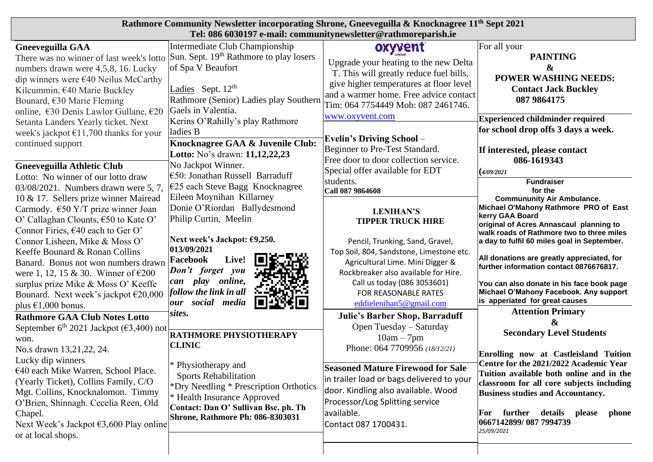| Rathmore Community Newsletter incorporating Shrone, Gneeveguilla & Knocknagree 11 <sup>th</sup> Sept 2021<br>Tel: 086 6030197 e-mail: communitynewsletter@rathmoreparish.ie                                                                                                                                                                                                                                   |                                                                                                                                                                                                                                      |                                                                                                                                                                                                                                                                         |                                                                                                                                                                                                                                                                                                                                                                                                            |
|---------------------------------------------------------------------------------------------------------------------------------------------------------------------------------------------------------------------------------------------------------------------------------------------------------------------------------------------------------------------------------------------------------------|--------------------------------------------------------------------------------------------------------------------------------------------------------------------------------------------------------------------------------------|-------------------------------------------------------------------------------------------------------------------------------------------------------------------------------------------------------------------------------------------------------------------------|------------------------------------------------------------------------------------------------------------------------------------------------------------------------------------------------------------------------------------------------------------------------------------------------------------------------------------------------------------------------------------------------------------|
| <b>Gneeveguilla GAA</b><br>There was no winner of last week's lotto Sun. Sept. 19th Rathmore to play losers<br>numbers drawn were 4,5,8, 16. Lucky<br>dip winners were $\epsilon$ 40 Neilus McCarthy<br>Kilcummin, €40 Marie Buckley<br>Bounard, $€30$ Marie Fleming<br>online, €30 Denis Lawlor Gullane, €20                                                                                                 | Intermediate Club Championship<br>of Spa V Beaufort<br>Ladies Sept. $12th$<br>Rathmore (Senior) Ladies play Southern<br>Gaels in Valentia.                                                                                           | oxyvent<br>Upgrade your heating to the new Delta<br>T. This will greatly reduce fuel bills,<br>give higher temperatures at floor level<br>and a warmer home. Free advice contact<br>Tim: 064 7754449 Mob: 087 2461746.<br>www.oxyvent.com                               | For all your<br><b>PAINTING</b><br>&<br><b>POWER WASHING NEEDS:</b><br><b>Contact Jack Buckley</b><br>087 9864175<br><b>Experienced childminder required</b>                                                                                                                                                                                                                                               |
| Setanta Landers Yearly ticket. Next<br>week's jackpot $£11,700$ thanks for your<br>continued support<br><b>Gneeveguilla Athletic Club</b><br>Lotto: No winner of our lotto draw                                                                                                                                                                                                                               | Kerins O'Rahilly's play Rathmore<br>ladies B<br>Knocknagree GAA & Juvenile Club:<br>Lotto: No's drawn: 11,12,22,23<br>No Jackpot Winner.<br>$\epsilon$ 50: Jonathan Russell Barraduff                                                | <b>Evelin's Driving School –</b><br>Beginner to Pre-Test Standard.<br>Free door to door collection service.<br>Special offer available for EDT                                                                                                                          | for school drop offs 3 days a week.<br>If interested, please contact<br>086-1619343<br>(4/09/2021)                                                                                                                                                                                                                                                                                                         |
| 03/08/2021. Numbers drawn were 5, 7,<br>10 & 17. Sellers prize winner Mairead<br>Carmody. $\epsilon$ 50 Y/T prize winner Joan<br>O' Callaghan Clounts, €50 to Kate O'<br>Connor Firies, €40 each to Ger O'<br>Connor Lisheen, Mike & Moss O'<br>Keeffe Bounard & Ronan Collins<br>Banard. Bonus not won numbers drawn<br>were 1, 12, 15 & 30. Winner of $\epsilon$ 200<br>surplus prize Mike & Moss O' Keeffe | €25 each Steve Bagg Knocknagree<br>Eileen Moynihan Killarney<br>Donie O'Riordan Ballydesmond<br>Philip Curtin, Meelin<br>Next week's Jackpot: €9,250.<br>013/09/2021<br>Live!<br>Facebook<br>Don't forget you<br>can play<br>online, | students.<br>Call 087 9864608<br><b>LENIHAN'S</b><br><b>TIPPER TRUCK HIRE</b><br>Pencil, Trunking, Sand, Gravel,<br>Top Soil, 804, Sandstone, Limestone etc.<br>Agricultural Lime. Mini Digger &<br>Rockbreaker also available for Hire.<br>Call us today (086 3053601) | <b>Fundraiser</b><br>for the<br><b>Commununity Air Ambulance.</b><br>Michael O'Mahony Rathmore PRO of East<br>kerry GAA Board<br>original of Acres Annascaul planning to<br>walk roads of Rathmore two to three miles<br>a day to fulfil 60 miles goal in September.<br>All donations are greatly appreciated, for<br>further information contact 0876676817.<br>You can also donate in his face book page |
| Bounard. Next week's jackpot €20,000<br>plus $\epsilon$ 1,000 bonus.<br><b>Rathmore GAA Club Notes Lotto</b><br>September 6 <sup>th</sup> 2021 Jackpot ( $\epsilon$ 3,400) not<br>won.                                                                                                                                                                                                                        | follow the link in all<br>our social media<br>sites.<br><b>RATHMORE PHYSIOTHERAPY</b><br><b>CLINIC</b>                                                                                                                               | FOR REASONABLE RATES<br>eddielenihan5@gmail.com<br><b>Julie's Barber Shop, Barraduff</b><br>Open Tuesday - Saturday<br>$10am - 7pm$                                                                                                                                     | Michael O'Mahony Facebook. Any support<br>is apperiated for great causes<br><b>Attention Primary</b><br>&<br><b>Secondary Level Students</b>                                                                                                                                                                                                                                                               |
| No.s drawn 13,21,22, 24.<br>Lucky dip winners<br>€40 each Mike Warren, School Place.<br>(Yearly Ticket), Collins Family, C/O<br>Mgt. Collins, Knocknalomon. Timmy<br>O'Brien, Shinnagh. Cecelia Reen, Old<br>Chapel.<br>Next Week's Jackpot $\epsilon$ 3,600 Play online<br>or at local shops.                                                                                                                | * Physiotherapy and<br><b>Sports Rehabilitation</b><br>*Dry Needling * Prescription Orthotics<br>* Health Insurance Approved<br>Contact: Dan O' Sullivan Bsc. ph. Th<br><b>Shrone, Rathmore Ph: 086-8303031</b>                      | Phone: 064 7709956 (18/12/21)<br><b>Seasoned Mature Firewood for Sale</b><br>in trailer load or bags delivered to your<br>door. Kindling also available. Wood<br>Processor/Log Splitting service<br>available.<br>Contact 087 1700431.                                  | Enrolling now at Castleisland Tuition<br>Centre for the 2021/2022 Academic Year<br>Tuition available both online and in the<br>classroom for all core subjects including<br><b>Business studies and Accountancy.</b><br>further details please<br>For<br>phone<br>0667142899/087 7994739<br>25/09/2021                                                                                                     |